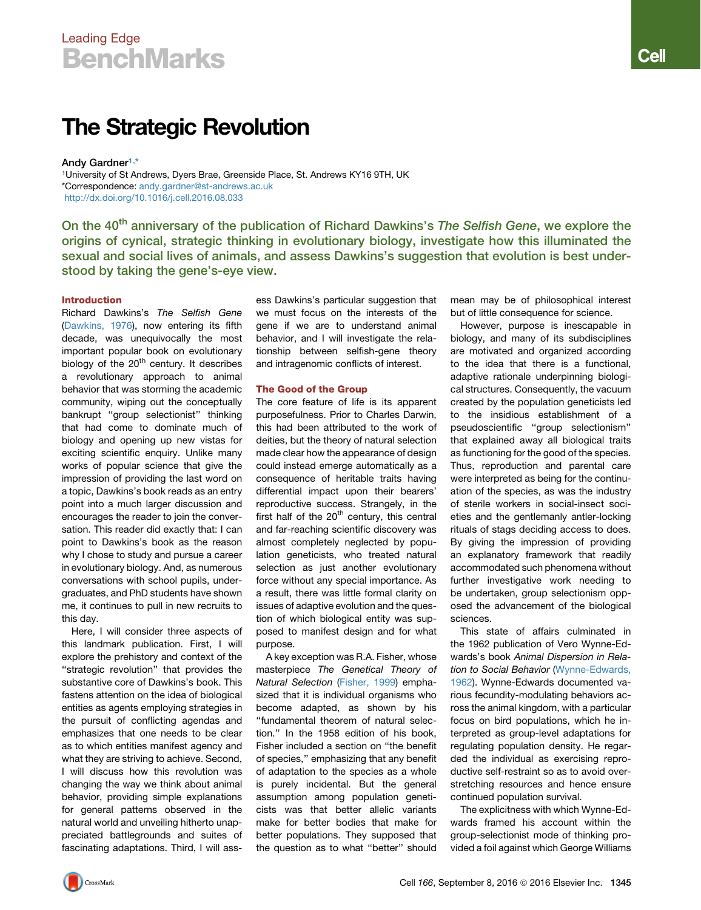# Leading Edge **BenchMarks**

# The Strategic Revolution

Andy Gardner[1,](#page-0-0)[\\*](#page-0-1)

<span id="page-0-1"></span><span id="page-0-0"></span><sup>1</sup>University of St Andrews, Dyers Brae, Greenside Place, St. Andrews KY16 9TH, UK \*Correspondence: [andy.gardner@st-andrews.ac.uk](mailto:andy.gardner@st-andrews.ac.uk) <http://dx.doi.org/10.1016/j.cell.2016.08.033>

On the 40<sup>th</sup> anniversary of the publication of Richard Dawkins's The Selfish Gene, we explore the origins of cynical, strategic thinking in evolutionary biology, investigate how this illuminated the sexual and social lives of animals, and assess Dawkins's suggestion that evolution is best understood by taking the gene's-eye view.

# Introduction

Richard Dawkins's *The Selfish Gene* [\(Dawkins, 1976\)](#page-3-0), now entering its fifth decade, was unequivocally the most important popular book on evolutionary biology of the  $20<sup>th</sup>$  century. It describes a revolutionary approach to animal behavior that was storming the academic community, wiping out the conceptually bankrupt ''group selectionist'' thinking that had come to dominate much of biology and opening up new vistas for exciting scientific enquiry. Unlike many works of popular science that give the impression of providing the last word on a topic, Dawkins's book reads as an entry point into a much larger discussion and encourages the reader to join the conversation. This reader did exactly that: I can point to Dawkins's book as the reason why I chose to study and pursue a career in evolutionary biology. And, as numerous conversations with school pupils, undergraduates, and PhD students have shown me, it continues to pull in new recruits to this day.

Here, I will consider three aspects of this landmark publication. First, I will explore the prehistory and context of the ''strategic revolution'' that provides the substantive core of Dawkins's book. This fastens attention on the idea of biological entities as agents employing strategies in the pursuit of conflicting agendas and emphasizes that one needs to be clear as to which entities manifest agency and what they are striving to achieve. Second, I will discuss how this revolution was changing the way we think about animal behavior, providing simple explanations for general patterns observed in the natural world and unveiling hitherto unappreciated battlegrounds and suites of fascinating adaptations. Third, I will assess Dawkins's particular suggestion that we must focus on the interests of the gene if we are to understand animal behavior, and I will investigate the relationship between selfish-gene theory and intragenomic conflicts of interest.

# The Good of the Group

The core feature of life is its apparent purposefulness. Prior to Charles Darwin, this had been attributed to the work of deities, but the theory of natural selection made clear how the appearance of design could instead emerge automatically as a consequence of heritable traits having differential impact upon their bearers' reproductive success. Strangely, in the first half of the  $20<sup>th</sup>$  century, this central and far-reaching scientific discovery was almost completely neglected by population geneticists, who treated natural selection as just another evolutionary force without any special importance. As a result, there was little formal clarity on issues of adaptive evolution and the question of which biological entity was supposed to manifest design and for what purpose.

A key exception was R.A. Fisher, whose masterpiece *The Genetical Theory of Natural Selection* [\(Fisher, 1999](#page-3-1)) emphasized that it is individual organisms who become adapted, as shown by his ''fundamental theorem of natural selection.'' In the 1958 edition of his book, Fisher included a section on ''the benefit of species,'' emphasizing that any benefit of adaptation to the species as a whole is purely incidental. But the general assumption among population geneticists was that better allelic variants make for better bodies that make for better populations. They supposed that the question as to what ''better'' should

mean may be of philosophical interest but of little consequence for science.

However, purpose is inescapable in biology, and many of its subdisciplines are motivated and organized according to the idea that there is a functional, adaptive rationale underpinning biological structures. Consequently, the vacuum created by the population geneticists led to the insidious establishment of a pseudoscientific ''group selectionism'' that explained away all biological traits as functioning for the good of the species. Thus, reproduction and parental care were interpreted as being for the continuation of the species, as was the industry of sterile workers in social-insect societies and the gentlemanly antler-locking rituals of stags deciding access to does. By giving the impression of providing an explanatory framework that readily accommodated such phenomena without further investigative work needing to be undertaken, group selectionism opposed the advancement of the biological sciences.

This state of affairs culminated in the 1962 publication of Vero Wynne-Edwards's book *Animal Dispersion in Relation to Social Behavior* [\(Wynne-Edwards,](#page-3-2) [1962\)](#page-3-2). Wynne-Edwards documented various fecundity-modulating behaviors across the animal kingdom, with a particular focus on bird populations, which he interpreted as group-level adaptations for regulating population density. He regarded the individual as exercising reproductive self-restraint so as to avoid overstretching resources and hence ensure continued population survival.

The explicitness with which Wynne-Edwards framed his account within the group-selectionist mode of thinking provided a foil against which George Williams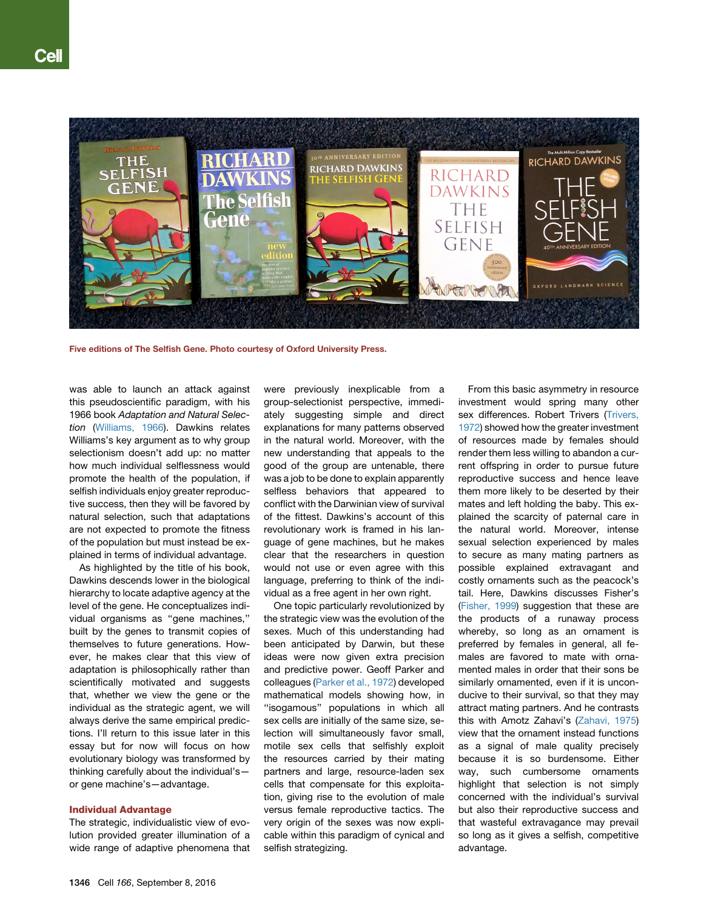

Five editions of The Selfish Gene. Photo courtesy of Oxford University Press.

was able to launch an attack against this pseudoscientific paradigm, with his 1966 book *Adaptation and Natural Selection* [\(Williams, 1966\)](#page-3-3). Dawkins relates Williams's key argument as to why group selectionism doesn't add up: no matter how much individual selflessness would promote the health of the population, if selfish individuals enjoy greater reproductive success, then they will be favored by natural selection, such that adaptations are not expected to promote the fitness of the population but must instead be explained in terms of individual advantage.

As highlighted by the title of his book. Dawkins descends lower in the biological hierarchy to locate adaptive agency at the level of the gene. He conceptualizes individual organisms as ''gene machines,'' built by the genes to transmit copies of themselves to future generations. However, he makes clear that this view of adaptation is philosophically rather than scientifically motivated and suggests that, whether we view the gene or the individual as the strategic agent, we will always derive the same empirical predictions. I'll return to this issue later in this essay but for now will focus on how evolutionary biology was transformed by thinking carefully about the individual's or gene machine's—advantage.

# Individual Advantage

The strategic, individualistic view of evolution provided greater illumination of a wide range of adaptive phenomena that were previously inexplicable from a group-selectionist perspective, immediately suggesting simple and direct explanations for many patterns observed in the natural world. Moreover, with the new understanding that appeals to the good of the group are untenable, there was a job to be done to explain apparently selfless behaviors that appeared to conflict with the Darwinian view of survival of the fittest. Dawkins's account of this revolutionary work is framed in his language of gene machines, but he makes clear that the researchers in question would not use or even agree with this language, preferring to think of the individual as a free agent in her own right.

One topic particularly revolutionized by the strategic view was the evolution of the sexes. Much of this understanding had been anticipated by Darwin, but these ideas were now given extra precision and predictive power. Geoff Parker and colleagues ([Parker et al., 1972\)](#page-3-4) developed mathematical models showing how, in ''isogamous'' populations in which all sex cells are initially of the same size, selection will simultaneously favor small, motile sex cells that selfishly exploit the resources carried by their mating partners and large, resource-laden sex cells that compensate for this exploitation, giving rise to the evolution of male versus female reproductive tactics. The very origin of the sexes was now explicable within this paradigm of cynical and selfish strategizing.

From this basic asymmetry in resource investment would spring many other sex differences. Robert Trivers [\(Trivers,](#page-3-5) [1972](#page-3-5)) showed how the greater investment of resources made by females should render them less willing to abandon a current offspring in order to pursue future reproductive success and hence leave them more likely to be deserted by their mates and left holding the baby. This explained the scarcity of paternal care in the natural world. Moreover, intense sexual selection experienced by males to secure as many mating partners as possible explained extravagant and costly ornaments such as the peacock's tail. Here, Dawkins discusses Fisher's ([Fisher, 1999](#page-3-1)) suggestion that these are the products of a runaway process whereby, so long as an ornament is preferred by females in general, all females are favored to mate with ornamented males in order that their sons be similarly ornamented, even if it is unconducive to their survival, so that they may attract mating partners. And he contrasts this with Amotz Zahavi's ([Zahavi, 1975\)](#page-3-6) view that the ornament instead functions as a signal of male quality precisely because it is so burdensome. Either way, such cumbersome ornaments highlight that selection is not simply concerned with the individual's survival but also their reproductive success and that wasteful extravagance may prevail so long as it gives a selfish, competitive advantage.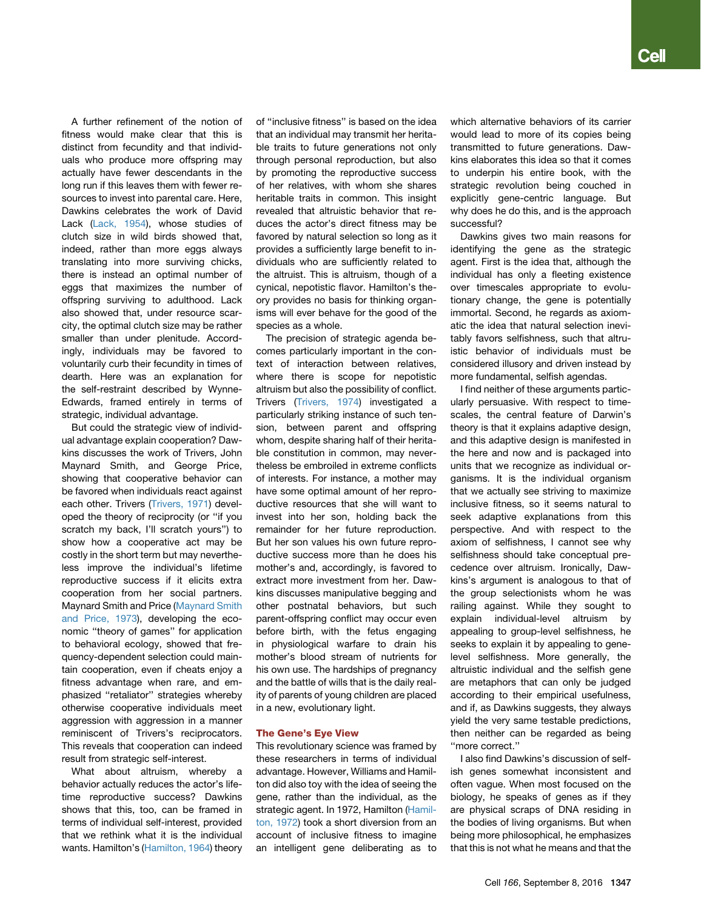A further refinement of the notion of fitness would make clear that this is distinct from fecundity and that individuals who produce more offspring may actually have fewer descendants in the long run if this leaves them with fewer resources to invest into parental care. Here, Dawkins celebrates the work of David Lack ([Lack, 1954\)](#page-3-7), whose studies of clutch size in wild birds showed that, indeed, rather than more eggs always translating into more surviving chicks, there is instead an optimal number of eggs that maximizes the number of offspring surviving to adulthood. Lack also showed that, under resource scarcity, the optimal clutch size may be rather smaller than under plenitude. Accordingly, individuals may be favored to voluntarily curb their fecundity in times of dearth. Here was an explanation for the self-restraint described by Wynne-Edwards, framed entirely in terms of strategic, individual advantage.

But could the strategic view of individual advantage explain cooperation? Dawkins discusses the work of Trivers, John Maynard Smith, and George Price, showing that cooperative behavior can be favored when individuals react against each other. Trivers [\(Trivers, 1971\)](#page-3-8) developed the theory of reciprocity (or ''if you scratch my back, I'll scratch yours'') to show how a cooperative act may be costly in the short term but may nevertheless improve the individual's lifetime reproductive success if it elicits extra cooperation from her social partners. Maynard Smith and Price [\(Maynard Smith](#page-3-9) [and Price, 1973\)](#page-3-9), developing the economic ''theory of games'' for application to behavioral ecology, showed that frequency-dependent selection could maintain cooperation, even if cheats enjoy a fitness advantage when rare, and emphasized ''retaliator'' strategies whereby otherwise cooperative individuals meet aggression with aggression in a manner reminiscent of Trivers's reciprocators. This reveals that cooperation can indeed result from strategic self-interest.

What about altruism, whereby a behavior actually reduces the actor's lifetime reproductive success? Dawkins shows that this, too, can be framed in terms of individual self-interest, provided that we rethink what it is the individual wants. Hamilton's [\(Hamilton, 1964\)](#page-3-10) theory of ''inclusive fitness'' is based on the idea that an individual may transmit her heritable traits to future generations not only through personal reproduction, but also by promoting the reproductive success of her relatives, with whom she shares heritable traits in common. This insight revealed that altruistic behavior that reduces the actor's direct fitness may be favored by natural selection so long as it provides a sufficiently large benefit to individuals who are sufficiently related to the altruist. This is altruism, though of a cynical, nepotistic flavor. Hamilton's theory provides no basis for thinking organisms will ever behave for the good of the species as a whole.

The precision of strategic agenda becomes particularly important in the context of interaction between relatives, where there is scope for nepotistic altruism but also the possibility of conflict. Trivers [\(Trivers, 1974\)](#page-3-11) investigated a particularly striking instance of such tension, between parent and offspring whom, despite sharing half of their heritable constitution in common, may nevertheless be embroiled in extreme conflicts of interests. For instance, a mother may have some optimal amount of her reproductive resources that she will want to invest into her son, holding back the remainder for her future reproduction. But her son values his own future reproductive success more than he does his mother's and, accordingly, is favored to extract more investment from her. Dawkins discusses manipulative begging and other postnatal behaviors, but such parent-offspring conflict may occur even before birth, with the fetus engaging in physiological warfare to drain his mother's blood stream of nutrients for his own use. The hardships of pregnancy and the battle of wills that is the daily reality of parents of young children are placed in a new, evolutionary light.

# The Gene's Eye View

This revolutionary science was framed by these researchers in terms of individual advantage. However, Williams and Hamilton did also toy with the idea of seeing the gene, rather than the individual, as the strategic agent. In 1972, Hamilton [\(Hamil](#page-3-12)[ton, 1972](#page-3-12)) took a short diversion from an account of inclusive fitness to imagine an intelligent gene deliberating as to

which alternative behaviors of its carrier would lead to more of its copies being transmitted to future generations. Dawkins elaborates this idea so that it comes to underpin his entire book, with the strategic revolution being couched in explicitly gene-centric language. But why does he do this, and is the approach successful?

Dawkins gives two main reasons for identifying the gene as the strategic agent. First is the idea that, although the individual has only a fleeting existence over timescales appropriate to evolutionary change, the gene is potentially immortal. Second, he regards as axiomatic the idea that natural selection inevitably favors selfishness, such that altruistic behavior of individuals must be considered illusory and driven instead by more fundamental, selfish agendas.

I find neither of these arguments particularly persuasive. With respect to timescales, the central feature of Darwin's theory is that it explains adaptive design, and this adaptive design is manifested in the here and now and is packaged into units that we recognize as individual organisms. It is the individual organism that we actually see striving to maximize inclusive fitness, so it seems natural to seek adaptive explanations from this perspective. And with respect to the axiom of selfishness, I cannot see why selfishness should take conceptual precedence over altruism. Ironically, Dawkins's argument is analogous to that of the group selectionists whom he was railing against. While they sought to explain individual-level altruism by appealing to group-level selfishness, he seeks to explain it by appealing to genelevel selfishness. More generally, the altruistic individual and the selfish gene are metaphors that can only be judged according to their empirical usefulness, and if, as Dawkins suggests, they always yield the very same testable predictions, then neither can be regarded as being ''more correct.''

I also find Dawkins's discussion of selfish genes somewhat inconsistent and often vague. When most focused on the biology, he speaks of genes as if they are physical scraps of DNA residing in the bodies of living organisms. But when being more philosophical, he emphasizes that this is not what he means and that the